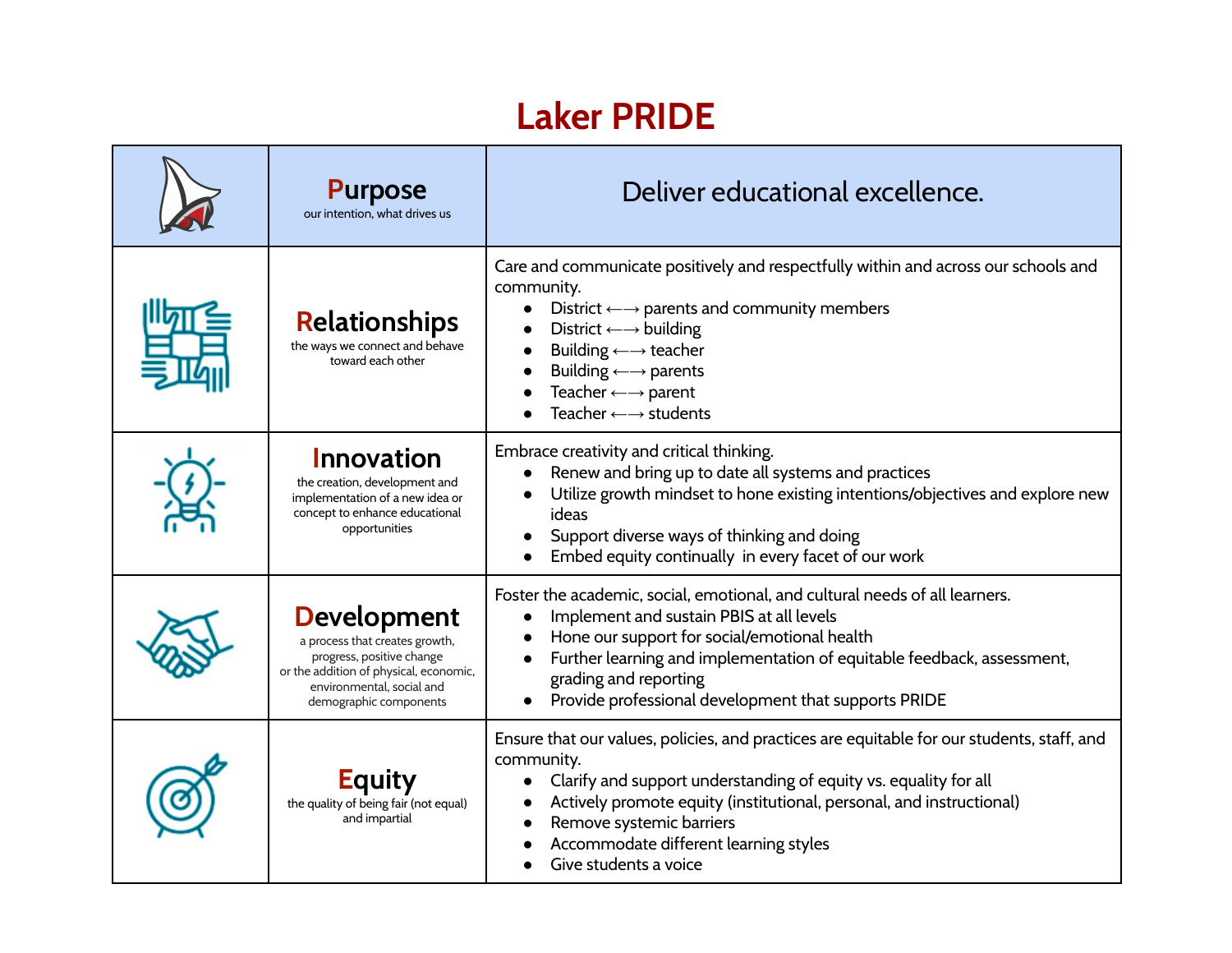## **Laker PRIDE**

| <b>Purpose</b><br>our intention, what drives us                                                                                                                                    | Deliver educational excellence.                                                                                                                                                                                                                                                                                                                                                               |
|------------------------------------------------------------------------------------------------------------------------------------------------------------------------------------|-----------------------------------------------------------------------------------------------------------------------------------------------------------------------------------------------------------------------------------------------------------------------------------------------------------------------------------------------------------------------------------------------|
| <b>Relationships</b><br>the ways we connect and behave<br>toward each other                                                                                                        | Care and communicate positively and respectfully within and across our schools and<br>community.<br>District $\leftarrow \rightarrow$ parents and community members<br>District $\leftarrow \rightarrow$ building<br>Building $\longleftrightarrow$ teacher<br>Building $\leftarrow \rightarrow$ parents<br>Teacher $\leftarrow \rightarrow$ parent<br>Teacher $\longleftrightarrow$ students |
| Innovation<br>the creation, development and<br>implementation of a new idea or<br>concept to enhance educational<br>opportunities                                                  | Embrace creativity and critical thinking.<br>Renew and bring up to date all systems and practices<br>Utilize growth mindset to hone existing intentions/objectives and explore new<br>ideas<br>Support diverse ways of thinking and doing<br>Embed equity continually in every facet of our work                                                                                              |
| <b>Development</b><br>a process that creates growth,<br>progress, positive change<br>or the addition of physical, economic,<br>environmental, social and<br>demographic components | Foster the academic, social, emotional, and cultural needs of all learners.<br>Implement and sustain PBIS at all levels<br>Hone our support for social/emotional health<br>Further learning and implementation of equitable feedback, assessment,<br>grading and reporting<br>Provide professional development that supports PRIDE                                                            |
| <b>Equity</b><br>the quality of being fair (not equal)<br>and impartial                                                                                                            | Ensure that our values, policies, and practices are equitable for our students, staff, and<br>community.<br>Clarify and support understanding of equity vs. equality for all<br>Actively promote equity (institutional, personal, and instructional)<br>Remove systemic barriers<br>Accommodate different learning styles<br>Give students a voice                                            |